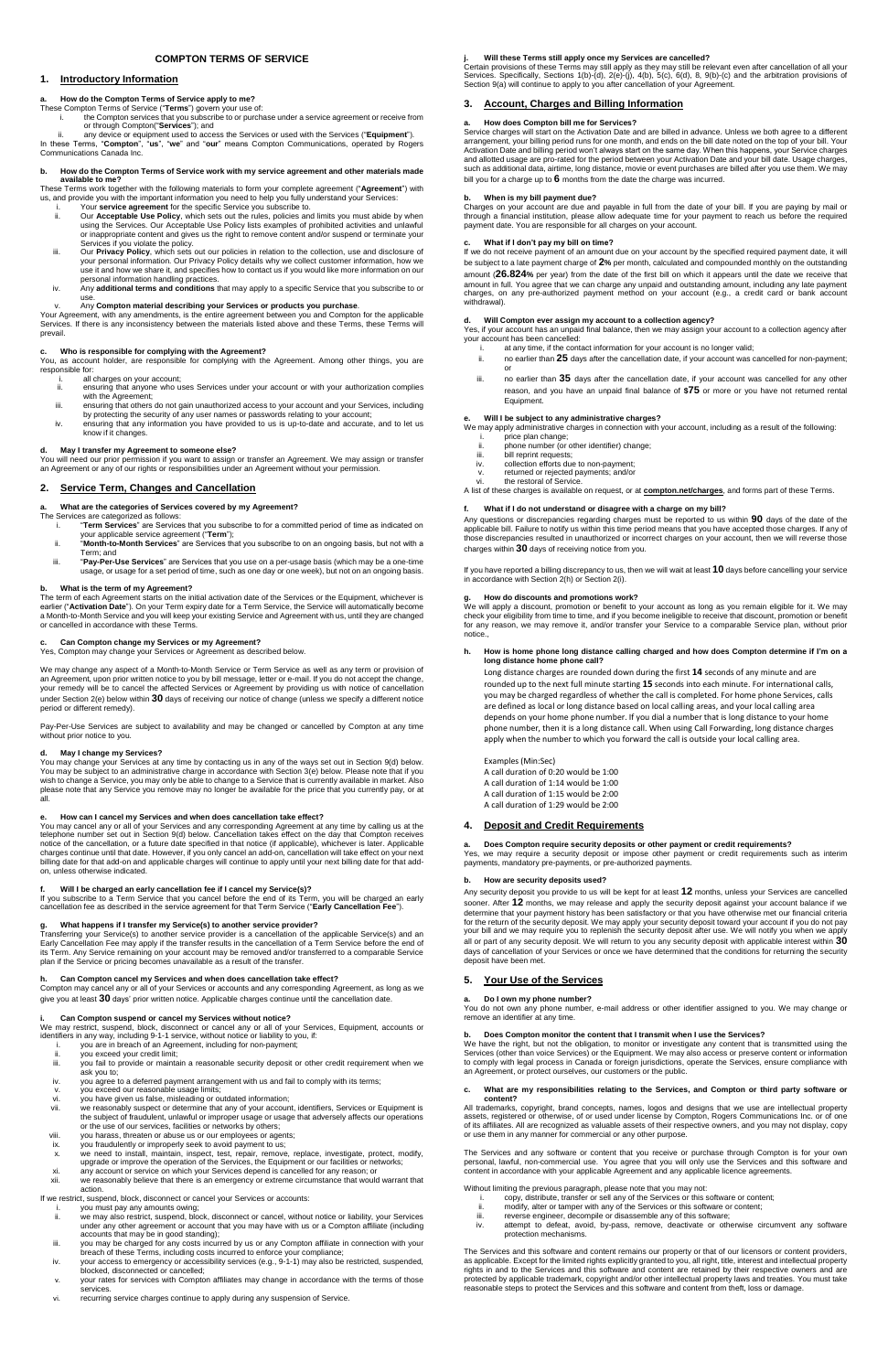# **COMPTON TERMS OF SERVICE**

# **1. Introductory Information**

# **a. How do the Compton Terms of Service apply to me?**

These Compton Terms of Service ("**Terms**") govern your use of:

- i. the Compton services that you subscribe to or purchase under a service agreement or receive from or through Compton("**Services**"); and
- ii. any device or equipment used to access the Services or used with the Services ("**Equipment**").

In these Terms, "**Compton**", "**us**", "**we**" and "**our**" means Compton Communications, operated by Rogers Communications Canada Inc.

### **b. How do the Compton Terms of Service work with my service agreement and other materials made available to me?**

These Terms work together with the following materials to form your complete agreement ("**Agreement**") with us, and provide you with the important information you need to help you fully understand your Services:

- i. Your **service agreement** for the specific Service you subscribe to. ii. Our **Acceptable Use Policy**, which sets out the rules, policies and limits you must abide by when using the Services. Our Acceptable Use Policy lists examples of prohibited activities and unlawful or inappropriate content and gives us the right to remove content and/or suspend or terminate your
- Services if you violate the policy. iii. Our **Privacy Policy**, which sets out our policies in relation to the collection, use and disclosure of your personal information. Our Privacy Policy details why we collect customer information, how we use it and how we share it, and specifies how to contact us if you would like more information on our personal information handling practices.
- iv. Any **additional terms and conditions** that may apply to a specific Service that you subscribe to or use.

### v. Any **Compton material describing your Services or products you purchase**.

Your Agreement, with any amendments, is the entire agreement between you and Compton for the applicable Services. If there is any inconsistency between the materials listed above and these Terms, these Terms will prevail.

# **c. Who is responsible for complying with the Agreement?**

You, as account holder, are responsible for complying with the Agreement. Among other things, you are responsible for:

- i. all charges on your account;
- ii. ensuring that anyone who uses Services under your account or with your authorization complies with the Agreement;
- iii. ensuring that others do not gain unauthorized access to your account and your Services, including by protecting the security of any user names or passwords relating to your account;
- iv. ensuring that any information you have provided to us is up-to-date and accurate, and to let us know if it changes.

# **d. May I transfer my Agreement to someone else?**

You will need our prior permission if you want to assign or transfer an Agreement. We may assign or transfer an Agreement or any of our rights or responsibilities under an Agreement without your permission.

### **2. Service Term, Changes and Cancellation**

**a. What are the categories of Services covered by my Agreement?**

- The Services are categorized as follows: i. "**Term Services**" are Services that you subscribe to for a committed period of time as indicated on your applicable service agreement ("**Term**");
	- ii. "**Month-to-Month Services**" are Services that you subscribe to on an ongoing basis, but not with a Term; and
	- iii. "**Pay-Per-Use Services**" are Services that you use on a per-usage basis (which may be a one-time usage, or usage for a set period of time, such as one day or one week), but not on an ongoing basis.

### **b. What is the term of my Agreement?**

The term of each Agreement starts on the initial activation date of the Services or the Equipment, whichever is earlier ("**Activation Date**"). On your Term expiry date for a Term Service, the Service will automatically become a Month-to-Month Service and you will keep your existing Service and Agreement with us, until they are changed or cancelled in accordance with these Terms.

# **c. Can Compton change my Services or my Agreement?**

Yes, Compton may change your Services or Agreement as described below.

- you are in breach of an Agreement, including for non-payment;
- ii. you exceed your credit limit;<br>iii. you fail to provide or mainta
- you fail to provide or maintain a reasonable security deposit or other credit requirement when we ask you to;
- iv. you agree to a deferred payment arrangement with us and fail to comply with its terms;
- v. you exceed our reasonable usage limits;
- vi. you have given us false, misleading or outdated information;
- vii. we reasonably suspect or determine that any of your account, identifiers, Services or Equipment is the subject of fraudulent, unlawful or improper usage or usage that adversely affects our operations or the use of our services, facilities or networks by others;
- viii. you harass, threaten or abuse us or our employees or agents;
- ix. you fraudulently or improperly seek to avoid payment to us;
- x. we need to install, maintain, inspect, test, repair, remove, replace, investigate, protect, modify, upgrade or improve the operation of the Services, the Equipment or our facilities or networks;
- xi. any account or service on which your Services depend is cancelled for any reason; or
- xii. we reasonably believe that there is an emergency or extreme circumstance that would warrant that action.

We may change any aspect of a Month-to-Month Service or Term Service as well as any term or provision of an Agreement, upon prior written notice to you by bill message, letter or e-mail. If you do not accept the change, your remedy will be to cancel the affected Services or Agreement by providing us with notice of cancellation under Section 2(e) below within **30** days of receiving our notice of change (unless we specify a different notice period or different remedy).

Pay-Per-Use Services are subject to availability and may be changed or cancelled by Compton at any time without prior notice to you.

- you must pay any amounts owing;
- ii. we may also restrict, suspend, block, disconnect or cancel, without notice or liability, your Services under any other agreement or account that you may have with us or a Compton affiliate (including accounts that may be in good standing);
- iii. you may be charged for any costs incurred by us or any Compton affiliate in connection with your breach of these Terms, including costs incurred to enforce your compliance;
- iv. your access to emergency or accessibility services (e.g., 9-1-1) may also be restricted, suspended, blocked, disconnected or cancelled;
- your rates for services with Compton affiliates may change in accordance with the terms of those services.
- vi. recurring service charges continue to apply during any suspension of Service.

### **d. May I change my Services?**

You may change your Services at any time by contacting us in any of the ways set out in Section 9(d) below. You may be subject to an administrative charge in accordance with Section 3(e) below. Please note that if you wish to change a Service, you may only be able to change to a Service that is currently available in market. Also please note that any Service you remove may no longer be available for the price that you currently pay, or at all.

### **e. How can I cancel my Services and when does cancellation take effect?**

You may cancel any or all of your Services and any corresponding Agreement at any time by calling us at the telephone number set out in Section 9(d) below. Cancellation takes effect on the day that Compton receives notice of the cancellation, or a future date specified in that notice (if applicable), whichever is later. Applicable charges continue until that date. However, if you only cancel an add-on, cancellation will take effect on your next billing date for that add-on and applicable charges will continue to apply until your next billing date for that addon, unless otherwise indicated.

### **f. Will I be charged an early cancellation fee if I cancel my Service(s)?**

We may apply administrative charges in connection with your account, including as a result of the following: price plan change;

If you subscribe to a Term Service that you cancel before the end of its Term, you will be charged an early cancellation fee as described in the service agreement for that Term Service ("**Early Cancellation Fee**").

### **g. What happens if I transfer my Service(s) to another service provider?**

Transferring your Service(s) to another service provider is a cancellation of the applicable Service(s) and an Early Cancellation Fee may apply if the transfer results in the cancellation of a Term Service before the end of its Term. Any Service remaining on your account may be removed and/or transferred to a comparable Service plan if the Service or pricing becomes unavailable as a result of the transfer.

### **h. Can Compton cancel my Services and when does cancellation take effect?**

Compton may cancel any or all of your Services or accounts and any corresponding Agreement, as long as we give you at least **30** days' prior written notice. Applicable charges continue until the cancellation date.

### **i. Can Compton suspend or cancel my Services without notice?**

We may restrict, suspend, block, disconnect or cancel any or all of your Services, Equipment, accounts or identifiers in any way, including 9-1-1 service, without notice or liability to you, if:

If we restrict, suspend, block, disconnect or cancel your Services or accounts:

### **j. Will these Terms still apply once my Services are cancelled?**

Certain provisions of these Terms may still apply as they may still be relevant even after cancellation of all your Services. Specifically, Sections 1(b)-(d), 2(e)-(j), 4(b), 5(c), 6(d), 8, 9(b)-(c) and the arbitration provisions of Section 9(a) will continue to apply to you after cancellation of your Agreement.

# **3. Account, Charges and Billing Information**

# **a. How does Compton bill me for Services?**

Service charges will start on the Activation Date and are billed in advance. Unless we both agree to a different arrangement, your billing period runs for one month, and ends on the bill date noted on the top of your bill. Your Activation Date and billing period won't always start on the same day. When this happens, your Service charges and allotted usage are pro-rated for the period between your Activation Date and your bill date. Usage charges, such as additional data, airtime, long distance, movie or event purchases are billed after you use them. We may bill you for a charge up to **6** months from the date the charge was incurred.

# **b. When is my bill payment due?**

Charges on your account are due and payable in full from the date of your bill. If you are paying by mail or through a financial institution, please allow adequate time for your payment to reach us before the required payment date. You are responsible for all charges on your account.

# **c. What if I don't pay my bill on time?**

If we do not receive payment of an amount due on your account by the specified required payment date, it will be subject to a late payment charge of **2%** per month, calculated and compounded monthly on the outstanding amount (**26.824%** per year) from the date of the first bill on which it appears until the date we receive that amount in full. You agree that we can charge any unpaid and outstanding amount, including any late payment charges, on any pre-authorized payment method on your account (e.g., a credit card or bank account withdrawal).

### **d. Will Compton ever assign my account to a collection agency?**

Yes, if your account has an unpaid final balance, then we may assign your account to a collection agency after your account has been cancelled:

- i. at any time, if the contact information for your account is no longer valid;
- ii. no earlier than **25** days after the cancellation date, if your account was cancelled for non-payment; or
- iii. no earlier than **35** days after the cancellation date, if your account was cancelled for any other reason, and you have an unpaid final balance of **\$75** or more or you have not returned rental Equipment.

### **e. Will I be subject to any administrative charges?**

- ii. phone number (or other identifier) change;
- iii. bill reprint requests;
- iv. collection efforts due to non-payment;
- v. returned or rejected payments; and/or vi. the restoral of Service.

A list of these charges is available on request, or at **[compton.net/charges](http://www.rogersteamspace.com/sites/legaldms/Matter%20Documents/sara.sytsma/Terms%20of%20Service%20Rewrite%202014-LEGAL2014-273/Rogers%20TOS%20Drafts/rogers.com/charges)**, and forms part of these Terms.

### **f. What if I do not understand or disagree with a charge on my bill?**

Any questions or discrepancies regarding charges must be reported to us within **90** days of the date of the applicable bill. Failure to notify us within this time period means that you have accepted those charges. If any of those discrepancies resulted in unauthorized or incorrect charges on your account, then we will reverse those charges within **30** days of receiving notice from you.

If you have reported a billing discrepancy to us, then we will wait at least **10** days before cancelling your service in accordance with Section 2(h) or Section 2(i).

### **g. How do discounts and promotions work?**

We will apply a discount, promotion or benefit to your account as long as you remain eligible for it. We may check your eligibility from time to time, and if you become ineligible to receive that discount, promotion or benefit for any reason, we may remove it, and/or transfer your Service to a comparable Service plan, without prior notice.,

### **h. How is home phone long distance calling charged and how does Compton determine if I'm on a long distance home phone call?**

Long distance charges are rounded down during the first **14** seconds of any minute and are rounded up to the next full minute starting **15** seconds into each minute. For international calls, you may be charged regardless of whether the call is completed. For home phone Services, calls are defined as local or long distance based on local calling areas, and your local calling area depends on your home phone number. If you dial a number that is long distance to your home phone number, then it is a long distance call. When using Call Forwarding, long distance charges apply when the number to which you forward the call is outside your local calling area.

Examples (Min:Sec) A call duration of 0:20 would be 1:00 A call duration of 1:14 would be 1:00 A call duration of 1:15 would be 2:00 A call duration of 1:29 would be 2:00

# **4. Deposit and Credit Requirements**

### **a. Does Compton require security deposits or other payment or credit requirements?**

Yes, we may require a security deposit or impose other payment or credit requirements such as interim payments, mandatory pre-payments, or pre-authorized payments.

### **b. How are security deposits used?**

Any security deposit you provide to us will be kept for at least **12** months, unless your Services are cancelled sooner. After **12** months, we may release and apply the security deposit against your account balance if we determine that your payment history has been satisfactory or that you have otherwise met our financial criteria for the return of the security deposit. We may apply your security deposit toward your account if you do not pay your bill and we may require you to replenish the security deposit after use. We will notify you when we apply all or part of any security deposit. We will return to you any security deposit with applicable interest within **30** days of cancellation of your Services or once we have determined that the conditions for returning the security deposit have been met.

# **5. Your Use of the Services**

**a. Do I own my phone number?** er, e-mail address or other ider remove an identifier at any time.

# **b. Does Compton monitor the content that I transmit when I use the Services?**

We have the right, but not the obligation, to monitor or investigate any content that is transmitted using the Services (other than voice Services) or the Equipment. We may also access or preserve content or information to comply with legal process in Canada or foreign jurisdictions, operate the Services, ensure compliance with an Agreement, or protect ourselves, our customers or the public.

### **c. What are my responsibilities relating to the Services, and Compton or third party software or content?**

All trademarks, copyright, brand concepts, names, logos and designs that we use are intellectual property assets, registered or otherwise, of or used under license by Compton, Rogers Communications Inc. or of one of its affiliates. All are recognized as valuable assets of their respective owners, and you may not display, copy or use them in any manner for commercial or any other purpose.

The Services and any software or content that you receive or purchase through Compton is for your own personal, lawful, non-commercial use. You agree that you will only use the Services and this software and content in accordance with your applicable Agreement and any applicable licence agreements.

Without limiting the previous paragraph, please note that you may not:

- i. copy, distribute, transfer or sell any of the Services or this software or content;
- ii. modify, alter or tamper with any of the Services or this software or content;
- iii. reverse engineer, decompile or disassemble any of this software;
- iv. attempt to defeat, avoid, by-pass, remove, deactivate or otherwise circumvent any software protection mechanisms.

The Services and this software and content remains our property or that of our licensors or content providers, as applicable. Except for the limited rights explicitly granted to you, all right, title, interest and intellectual property rights in and to the Services and this software and content are retained by their respective owners and are protected by applicable trademark, copyright and/or other intellectual property laws and treaties. You must take reasonable steps to protect the Services and this software and content from theft, loss or damage.